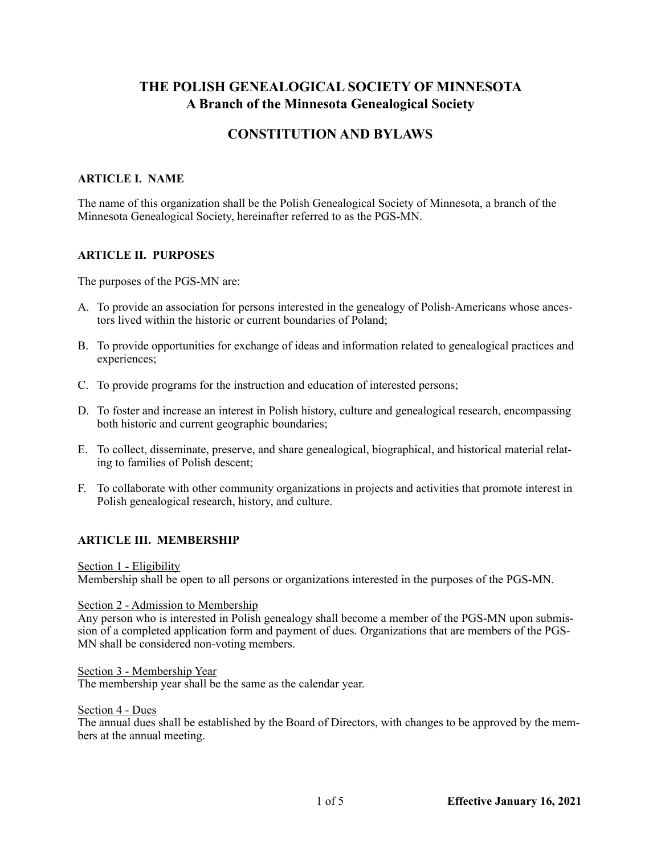# **THE POLISH GENEALOGICAL SOCIETY OF MINNESOTA A Branch of the Minnesota Genealogical Society**

# **CONSTITUTION AND BYLAWS**

# **ARTICLE I. NAME**

The name of this organization shall be the Polish Genealogical Society of Minnesota, a branch of the Minnesota Genealogical Society, hereinafter referred to as the PGS-MN.

# **ARTICLE II. PURPOSES**

The purposes of the PGS-MN are:

- A. To provide an association for persons interested in the genealogy of Polish-Americans whose ancestors lived within the historic or current boundaries of Poland;
- B. To provide opportunities for exchange of ideas and information related to genealogical practices and experiences;
- C. To provide programs for the instruction and education of interested persons;
- D. To foster and increase an interest in Polish history, culture and genealogical research, encompassing both historic and current geographic boundaries;
- E. To collect, disseminate, preserve, and share genealogical, biographical, and historical material relating to families of Polish descent;
- F. To collaborate with other community organizations in projects and activities that promote interest in Polish genealogical research, history, and culture.

# **ARTICLE III. MEMBERSHIP**

Section 1 - Eligibility

Membership shall be open to all persons or organizations interested in the purposes of the PGS-MN.

#### Section 2 - Admission to Membership

Any person who is interested in Polish genealogy shall become a member of the PGS-MN upon submission of a completed application form and payment of dues. Organizations that are members of the PGS-MN shall be considered non-voting members.

#### Section 3 - Membership Year

The membership year shall be the same as the calendar year.

#### Section 4 - Dues

The annual dues shall be established by the Board of Directors, with changes to be approved by the members at the annual meeting.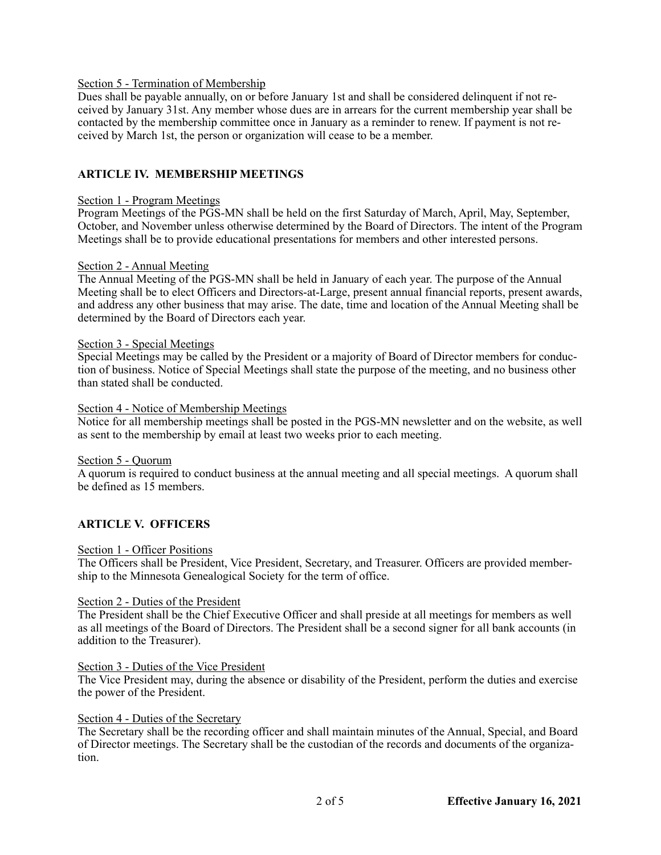# Section 5 - Termination of Membership

Dues shall be payable annually, on or before January 1st and shall be considered delinquent if not received by January 31st. Any member whose dues are in arrears for the current membership year shall be contacted by the membership committee once in January as a reminder to renew. If payment is not received by March 1st, the person or organization will cease to be a member.

# **ARTICLE IV. MEMBERSHIP MEETINGS**

#### Section 1 - Program Meetings

Program Meetings of the PGS-MN shall be held on the first Saturday of March, April, May, September, October, and November unless otherwise determined by the Board of Directors. The intent of the Program Meetings shall be to provide educational presentations for members and other interested persons.

#### Section 2 - Annual Meeting

The Annual Meeting of the PGS-MN shall be held in January of each year. The purpose of the Annual Meeting shall be to elect Officers and Directors-at-Large, present annual financial reports, present awards, and address any other business that may arise. The date, time and location of the Annual Meeting shall be determined by the Board of Directors each year.

#### Section 3 - Special Meetings

Special Meetings may be called by the President or a majority of Board of Director members for conduction of business. Notice of Special Meetings shall state the purpose of the meeting, and no business other than stated shall be conducted.

#### Section 4 - Notice of Membership Meetings

Notice for all membership meetings shall be posted in the PGS-MN newsletter and on the website, as well as sent to the membership by email at least two weeks prior to each meeting.

#### Section 5 - Quorum

A quorum is required to conduct business at the annual meeting and all special meetings. A quorum shall be defined as 15 members.

#### **ARTICLE V. OFFICERS**

#### Section 1 - Officer Positions

The Officers shall be President, Vice President, Secretary, and Treasurer. Officers are provided membership to the Minnesota Genealogical Society for the term of office.

#### Section 2 - Duties of the President

The President shall be the Chief Executive Officer and shall preside at all meetings for members as well as all meetings of the Board of Directors. The President shall be a second signer for all bank accounts (in addition to the Treasurer).

# Section 3 - Duties of the Vice President

The Vice President may, during the absence or disability of the President, perform the duties and exercise the power of the President.

#### Section 4 - Duties of the Secretary

The Secretary shall be the recording officer and shall maintain minutes of the Annual, Special, and Board of Director meetings. The Secretary shall be the custodian of the records and documents of the organization.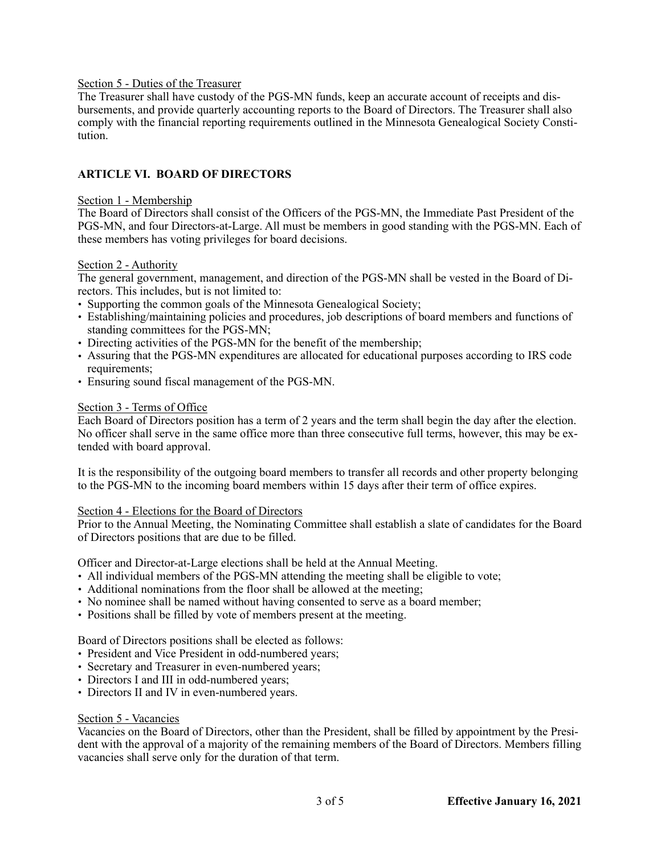# Section 5 - Duties of the Treasurer

The Treasurer shall have custody of the PGS-MN funds, keep an accurate account of receipts and disbursements, and provide quarterly accounting reports to the Board of Directors. The Treasurer shall also comply with the financial reporting requirements outlined in the Minnesota Genealogical Society Constitution.

# **ARTICLE VI. BOARD OF DIRECTORS**

#### Section 1 - Membership

The Board of Directors shall consist of the Officers of the PGS-MN, the Immediate Past President of the PGS-MN, and four Directors-at-Large. All must be members in good standing with the PGS-MN. Each of these members has voting privileges for board decisions.

#### Section 2 - Authority

The general government, management, and direction of the PGS-MN shall be vested in the Board of Directors. This includes, but is not limited to:

- Supporting the common goals of the Minnesota Genealogical Society;
- Establishing/maintaining policies and procedures, job descriptions of board members and functions of standing committees for the PGS-MN;
- Directing activities of the PGS-MN for the benefit of the membership;
- Assuring that the PGS-MN expenditures are allocated for educational purposes according to IRS code requirements;
- Ensuring sound fiscal management of the PGS-MN.

#### Section 3 - Terms of Office

Each Board of Directors position has a term of 2 years and the term shall begin the day after the election. No officer shall serve in the same office more than three consecutive full terms, however, this may be extended with board approval.

It is the responsibility of the outgoing board members to transfer all records and other property belonging to the PGS-MN to the incoming board members within 15 days after their term of office expires.

#### Section 4 - Elections for the Board of Directors

Prior to the Annual Meeting, the Nominating Committee shall establish a slate of candidates for the Board of Directors positions that are due to be filled.

Officer and Director-at-Large elections shall be held at the Annual Meeting.

- All individual members of the PGS-MN attending the meeting shall be eligible to vote;
- Additional nominations from the floor shall be allowed at the meeting;
- No nominee shall be named without having consented to serve as a board member;
- Positions shall be filled by vote of members present at the meeting.

Board of Directors positions shall be elected as follows:

- President and Vice President in odd-numbered years;
- Secretary and Treasurer in even-numbered years;
- Directors I and III in odd-numbered years;
- Directors II and IV in even-numbered years.

# Section 5 - Vacancies

Vacancies on the Board of Directors, other than the President, shall be filled by appointment by the President with the approval of a majority of the remaining members of the Board of Directors. Members filling vacancies shall serve only for the duration of that term.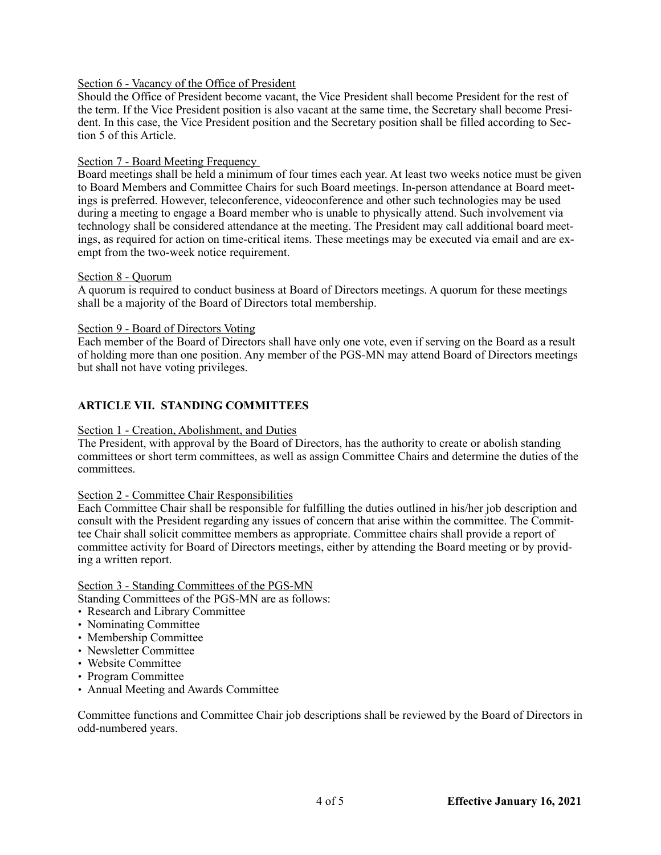# Section 6 - Vacancy of the Office of President

Should the Office of President become vacant, the Vice President shall become President for the rest of the term. If the Vice President position is also vacant at the same time, the Secretary shall become President. In this case, the Vice President position and the Secretary position shall be filled according to Section 5 of this Article.

#### Section 7 - Board Meeting Frequency

Board meetings shall be held a minimum of four times each year. At least two weeks notice must be given to Board Members and Committee Chairs for such Board meetings. In-person attendance at Board meetings is preferred. However, teleconference, videoconference and other such technologies may be used during a meeting to engage a Board member who is unable to physically attend. Such involvement via technology shall be considered attendance at the meeting. The President may call additional board meetings, as required for action on time-critical items. These meetings may be executed via email and are exempt from the two-week notice requirement.

#### Section 8 - Quorum

A quorum is required to conduct business at Board of Directors meetings. A quorum for these meetings shall be a majority of the Board of Directors total membership.

#### Section 9 - Board of Directors Voting

Each member of the Board of Directors shall have only one vote, even if serving on the Board as a result of holding more than one position. Any member of the PGS-MN may attend Board of Directors meetings but shall not have voting privileges.

# **ARTICLE VII. STANDING COMMITTEES**

#### Section 1 - Creation, Abolishment, and Duties

The President, with approval by the Board of Directors, has the authority to create or abolish standing committees or short term committees, as well as assign Committee Chairs and determine the duties of the committees.

#### Section 2 - Committee Chair Responsibilities

Each Committee Chair shall be responsible for fulfilling the duties outlined in his/her job description and consult with the President regarding any issues of concern that arise within the committee. The Committee Chair shall solicit committee members as appropriate. Committee chairs shall provide a report of committee activity for Board of Directors meetings, either by attending the Board meeting or by providing a written report.

# Section 3 - Standing Committees of the PGS-MN

Standing Committees of the PGS-MN are as follows:

- Research and Library Committee
- Nominating Committee
- Membership Committee
- Newsletter Committee
- Website Committee
- Program Committee
- Annual Meeting and Awards Committee

Committee functions and Committee Chair job descriptions shall be reviewed by the Board of Directors in odd-numbered years.